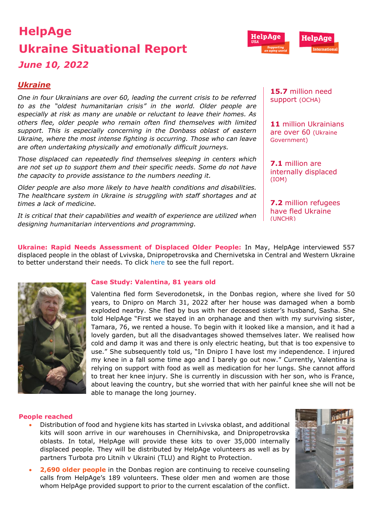# **HelpAge Ukraine Situational Report**  *June 10, 2022*



*One in four Ukrainians are over 60, leading the current crisis to be referred to as the "[oldest humanitarian crisis](https://www.age-platform.eu/special-briefing/ukraine-%E2%80%98oldest%E2%80%99-humanitarian-crisis-world)" in the world. Older people are especially at risk as many are unable or reluctant to leave their homes. As others flee, older people who remain often find themselves with limited support. This is especially concerning in the Donbass oblast of eastern Ukraine, where the most intense fighting is occurring. Those who can leave are often undertaking physically and emotionally difficult journeys.* 

*Those displaced can repeatedly find themselves sleeping in centers which are not set up to support them and their specific needs. Some do not have the capacity to provide assistance to the numbers needing it.* 

*Older people are also more likely to have health conditions and disabilities. The healthcare system in Ukraine is struggling with staff shortages and at times a lack of medicine.* 

*It is critical that their capabilities and wealth of experience are utilized when designing humanitarian interventions and programming.* 

**15.7** million need support [\(OCHA\)](https://reliefweb.int/sites/reliefweb.int/files/resources/Ukraine%20Flash%20Appeal%202022%20April%20Revision_EN_v1.0.pdf)

HelpAae

**11** million Ukrainians are over 60 [\(Ukraine](http://database.ukrcensus.gov.ua/PXWEB2007/ukr/publ_new1/2021/dem_2020.pdf)  [Gove](http://database.ukrcensus.gov.ua/PXWEB2007/ukr/publ_new1/2021/dem_2020.pdf)rnment)

**7.1** million are internally displaced [\(IOM\)](https://www.impact-repository.org/document/reach/7a10aa5a/Inter_Agency_Ukraine_IDP_Situation_Overview_20April2022.pdf)

**7.2** million refugees have fled Ukraine [\(UNCHR\)](https://data2.unhcr.org/en/situations/ukraine)

**Ukraine: Rapid Needs Assessment of Displaced Older People:** In May, HelpAge interviewed 557 displaced people in the oblast of Lvivska, Dnipropetrovska and Chernivetska in Central and Western Ukraine to better understand their needs. To click [here](https://reliefweb.int/report/ukraine/ukraine-rapid-needs-assessment-displaced-older-people-lvivska-chernivetska-and-dnipropetrovska-oblasts-3-june-2022) to see the full report.



# **Case Study: Valentina, 81 years old**

Valentina fled form Severodonetsk, in the Donbas region, where she lived for 50 years, to Dnipro on March 31, 2022 after her house was damaged when a bomb exploded nearby. She fled by bus with her deceased sister's husband, Sasha. She told HelpAge "First we stayed in an orphanage and then with my surviving sister, Tamara, 76, we rented a house. To begin with it looked like a mansion, and it had a lovely garden, but all the disadvantages showed themselves later. We realised how cold and damp it was and there is only electric heating, but that is too expensive to use." She subsequently told us, "In Dnipro I have lost my independence. I injured my knee in a fall some time ago and I barely go out now." Currently, Valentina is relying on support with food as well as medication for her lungs. She cannot afford to treat her knee injury. She is currently in discussion with her son, who is France, about leaving the country, but she worried that with her painful knee she will not be able to manage the long journey.

## **People reached**

- Distribution of food and hygiene kits has started in Lvivska oblast, and additional kits will soon arrive in our warehouses in Chernihivska, and Dnipropetrovska oblasts. In total, HelpAge will provide these kits to over 35,000 internally displaced people. They will be distributed by HelpAge volunteers as well as by partners Turbota pro Litnih v Ukraini (TLU) and Right to Protection.
- **2,690 older people** in the Donbas region are continuing to receive counseling calls from HelpAge's 189 volunteers. These older men and women are those whom HelpAge provided support to prior to the current escalation of the conflict.

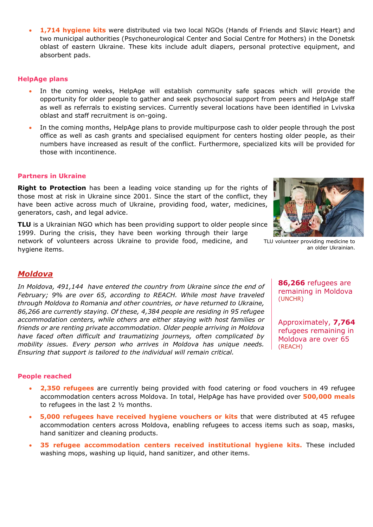1,714 hygiene kits were distributed via two local NGOs (Hands of Friends and Slavic Heart) and two municipal authorities (Psychoneurological Center and Social Centre for Mothers) in the Donetsk oblast of eastern Ukraine. These kits include adult diapers, personal protective equipment, and absorbent pads.

## **HelpAge plans**

- In the coming weeks, HelpAge will establish community safe spaces which will provide the opportunity for older people to gather and seek psychosocial support from peers and HelpAge staff as well as referrals to existing services. Currently several locations have been identified in Lvivska oblast and staff recruitment is on-going.
- In the coming months, HelpAge plans to provide multipurpose cash to older people through the post office as well as cash grants and specialised equipment for centers hosting older people, as their numbers have increased as result of the conflict. Furthermore, specialized kits will be provided for those with incontinence.

# **Partners in Ukraine**

**[Right to Protection](https://r2p.org.ua/)** has been a leading voice standing up for the rights of those most at risk in Ukraine since 2001. Since the start of the conflict, they have been active across much of Ukraine, providing food, water, medicines, generators, cash, and legal advice.

**[TLU](http://www.tlu.org.ua/)** is a Ukrainian NGO which has been providing support to older people since 1999. During the crisis, they have been working through their large

network of volunteers across Ukraine to provide food, medicine, and hygiene items.



TLU volunteer providing medicine to an older Ukrainian.

# *Moldova*

*In Moldova, [491,144](https://data.unhcr.org/en/situations/ukraine/location/10784) have entered the country from Ukraine since the end of February; [9%](https://data2.unhcr.org/en/documents/details/92088) are over 65, according to [REACH.](https://data2.unhcr.org/en/documents/details/92429) While most have traveled through Moldova to Romania and other countries, or have returned to Ukraine, [86,266](https://data2.unhcr.org/en/documents/details/92774) are currently staying. Of these, [4,384 p](https://www.impact-repository.org/document/reach/9a15586a/REACH_MDA_Factsheet_RAC-Weekly-Needs-Monitoring_2022-04-27_EN.pdf)eople are residing in 95 refugee accommodation centers, while others are either staying with host families or friends or are renting private accommodation. Older people arriving in Moldova have faced often difficult and traumatizing journeys, often complicated by mobility issues. Every person who arrives in Moldova has unique needs. Ensuring that support is tailored to the individual will remain critical.* 

**86,266** refugees are remaining in Moldova [\(UNCHR\)](https://data.unhcr.org/en/situations/ukraine/location/10784)

Approximately, **7,764** refugees remaining in Moldova are over 65 [\(REACH\)](https://data2.unhcr.org/en/documents/details/92429)

## **People reached**

- **2,350 refugees** are currently being provided with food catering or food vouchers in 49 refugee accommodation centers across Moldova. In total, HelpAge has have provided over **500,000 meals** to refugees in the last 2 ½ months.
- **5,000 refugees have received hygiene vouchers or kits** that were distributed at 45 refugee accommodation centers across Moldova, enabling refugees to access items such as soap, masks, hand sanitizer and cleaning products.
- **35 refugee accommodation centers received institutional hygiene kits.** These included washing mops, washing up liquid, hand sanitizer, and other items.